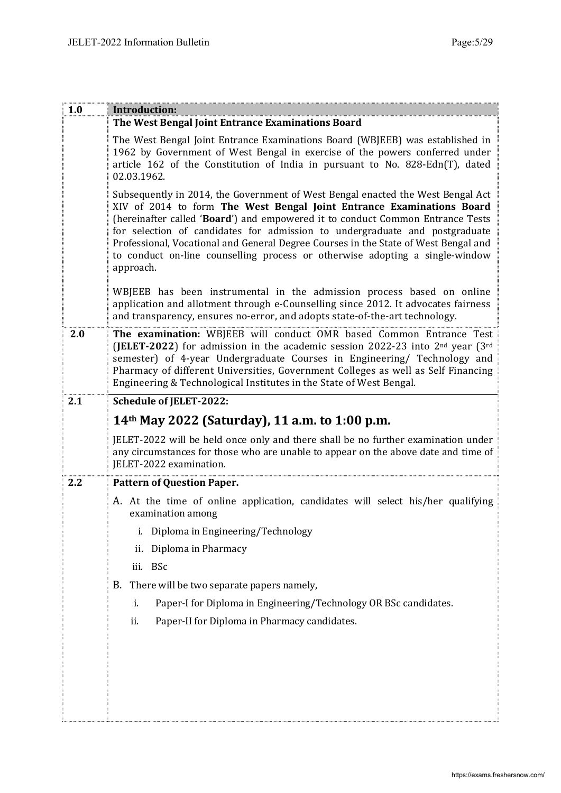| 1.0 | Introduction:                                                                                                                                                                                                                                                                                                                                                                                                                                                                                                 |  |  |  |  |  |
|-----|---------------------------------------------------------------------------------------------------------------------------------------------------------------------------------------------------------------------------------------------------------------------------------------------------------------------------------------------------------------------------------------------------------------------------------------------------------------------------------------------------------------|--|--|--|--|--|
|     | The West Bengal Joint Entrance Examinations Board                                                                                                                                                                                                                                                                                                                                                                                                                                                             |  |  |  |  |  |
|     | The West Bengal Joint Entrance Examinations Board (WBJEEB) was established in<br>1962 by Government of West Bengal in exercise of the powers conferred under<br>article 162 of the Constitution of India in pursuant to No. 828-Edn(T), dated<br>02.03.1962.                                                                                                                                                                                                                                                  |  |  |  |  |  |
|     | Subsequently in 2014, the Government of West Bengal enacted the West Bengal Act<br>XIV of 2014 to form The West Bengal Joint Entrance Examinations Board<br>(hereinafter called 'Board') and empowered it to conduct Common Entrance Tests<br>for selection of candidates for admission to undergraduate and postgraduate<br>Professional, Vocational and General Degree Courses in the State of West Bengal and<br>to conduct on-line counselling process or otherwise adopting a single-window<br>approach. |  |  |  |  |  |
|     | WBJEEB has been instrumental in the admission process based on online<br>application and allotment through e-Counselling since 2012. It advocates fairness<br>and transparency, ensures no-error, and adopts state-of-the-art technology.                                                                                                                                                                                                                                                                     |  |  |  |  |  |
| 2.0 | The examination: WBJEEB will conduct OMR based Common Entrance Test<br>(JELET-2022) for admission in the academic session 2022-23 into $2nd$ year (3 <sup>rd</sup> )<br>semester) of 4-year Undergraduate Courses in Engineering/ Technology and<br>Pharmacy of different Universities, Government Colleges as well as Self Financing<br>Engineering & Technological Institutes in the State of West Bengal.                                                                                                  |  |  |  |  |  |
| 2.1 | <b>Schedule of JELET-2022:</b>                                                                                                                                                                                                                                                                                                                                                                                                                                                                                |  |  |  |  |  |
|     | 14 <sup>th</sup> May 2022 (Saturday), 11 a.m. to 1:00 p.m.                                                                                                                                                                                                                                                                                                                                                                                                                                                    |  |  |  |  |  |
|     | JELET-2022 will be held once only and there shall be no further examination under<br>any circumstances for those who are unable to appear on the above date and time of<br>JELET-2022 examination.                                                                                                                                                                                                                                                                                                            |  |  |  |  |  |
| 2.2 | <b>Pattern of Question Paper.</b>                                                                                                                                                                                                                                                                                                                                                                                                                                                                             |  |  |  |  |  |
|     | A. At the time of online application, candidates will select his/her qualifying<br>examination among                                                                                                                                                                                                                                                                                                                                                                                                          |  |  |  |  |  |
|     | Diploma in Engineering/Technology<br>i.                                                                                                                                                                                                                                                                                                                                                                                                                                                                       |  |  |  |  |  |
|     | Diploma in Pharmacy<br>ii.                                                                                                                                                                                                                                                                                                                                                                                                                                                                                    |  |  |  |  |  |
|     | iii. BSc                                                                                                                                                                                                                                                                                                                                                                                                                                                                                                      |  |  |  |  |  |
|     | There will be two separate papers namely,<br>B.                                                                                                                                                                                                                                                                                                                                                                                                                                                               |  |  |  |  |  |
|     | Paper-I for Diploma in Engineering/Technology OR BSc candidates.<br>i.                                                                                                                                                                                                                                                                                                                                                                                                                                        |  |  |  |  |  |
|     | Paper-II for Diploma in Pharmacy candidates.<br>ii.                                                                                                                                                                                                                                                                                                                                                                                                                                                           |  |  |  |  |  |
|     |                                                                                                                                                                                                                                                                                                                                                                                                                                                                                                               |  |  |  |  |  |
|     |                                                                                                                                                                                                                                                                                                                                                                                                                                                                                                               |  |  |  |  |  |
|     |                                                                                                                                                                                                                                                                                                                                                                                                                                                                                                               |  |  |  |  |  |
|     |                                                                                                                                                                                                                                                                                                                                                                                                                                                                                                               |  |  |  |  |  |
|     |                                                                                                                                                                                                                                                                                                                                                                                                                                                                                                               |  |  |  |  |  |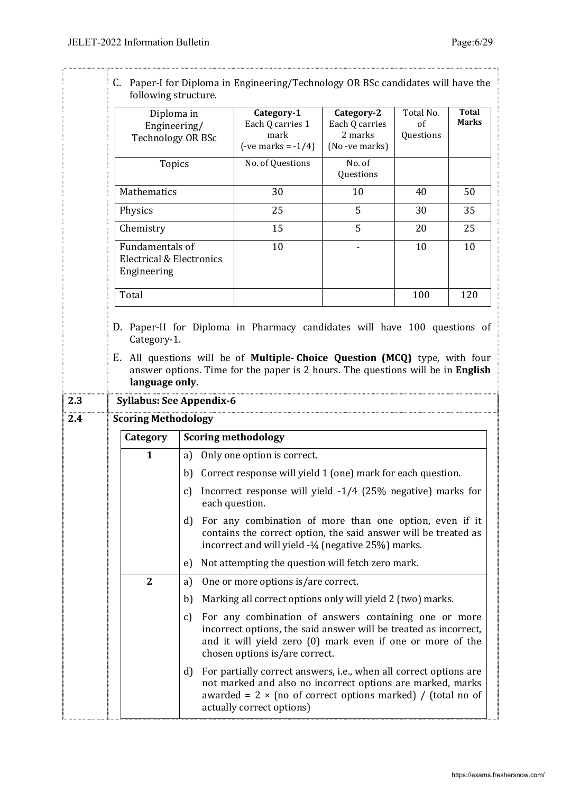|            | following structure.                                          |                  | C. Paper-I for Diploma in Engineering/Technology OR BSc candidates will have the                                                                                                                                                   |                                                           |                                      |                              |  |
|------------|---------------------------------------------------------------|------------------|------------------------------------------------------------------------------------------------------------------------------------------------------------------------------------------------------------------------------------|-----------------------------------------------------------|--------------------------------------|------------------------------|--|
|            | Diploma in<br>Engineering/<br><b>Technology OR BSc</b>        |                  | Category-1<br>Each Q carries 1<br>mark<br>$(-ve marks = -1/4)$                                                                                                                                                                     | Category-2<br>Each Q carries<br>2 marks<br>(No -ve marks) | Total No.<br>$\sigma$ f<br>Questions | <b>Total</b><br><b>Marks</b> |  |
|            | <b>Topics</b>                                                 |                  | No. of Questions                                                                                                                                                                                                                   | No. of<br>Questions                                       |                                      |                              |  |
|            | Mathematics                                                   |                  | 30                                                                                                                                                                                                                                 | 10                                                        | 40                                   | 50                           |  |
|            | Physics                                                       |                  | 25                                                                                                                                                                                                                                 | 5                                                         | 30                                   | 35                           |  |
|            | Chemistry                                                     |                  | 15                                                                                                                                                                                                                                 | 5                                                         | 20                                   | 25                           |  |
|            | Fundamentals of<br>Electrical & Electronics<br>Engineering    |                  | 10                                                                                                                                                                                                                                 |                                                           | 10                                   | 10                           |  |
|            | Total                                                         |                  |                                                                                                                                                                                                                                    |                                                           | 100                                  | 120                          |  |
| 2.3<br>2.4 | <b>Syllabus: See Appendix-6</b><br><b>Scoring Methodology</b> |                  |                                                                                                                                                                                                                                    |                                                           |                                      |                              |  |
|            | Category                                                      |                  | <b>Scoring methodology</b>                                                                                                                                                                                                         |                                                           |                                      |                              |  |
|            | $\mathbf{1}$                                                  | a)               | Only one option is correct.                                                                                                                                                                                                        |                                                           |                                      |                              |  |
|            |                                                               | b)               | Correct response will yield 1 (one) mark for each question.                                                                                                                                                                        |                                                           |                                      |                              |  |
|            |                                                               | $\mathfrak{c}$ ) | Incorrect response will yield -1/4 (25% negative) marks for<br>each question.                                                                                                                                                      |                                                           |                                      |                              |  |
|            |                                                               | d)               | For any combination of more than one option, even if it<br>contains the correct option, the said answer will be treated as<br>incorrect and will yield -1/4 (negative 25%) marks.                                                  |                                                           |                                      |                              |  |
|            |                                                               | e)               | Not attempting the question will fetch zero mark.                                                                                                                                                                                  |                                                           |                                      |                              |  |
|            | $\mathbf{2}$                                                  | a)               | One or more options is/are correct.                                                                                                                                                                                                |                                                           |                                      |                              |  |
|            |                                                               | b)               | Marking all correct options only will yield 2 (two) marks.                                                                                                                                                                         |                                                           |                                      |                              |  |
|            |                                                               | C)               | For any combination of answers containing one or more<br>incorrect options, the said answer will be treated as incorrect,<br>and it will yield zero (0) mark even if one or more of the<br>chosen options is/are correct.          |                                                           |                                      |                              |  |
|            |                                                               | d)               | For partially correct answers, i.e., when all correct options are<br>not marked and also no incorrect options are marked, marks<br>awarded = $2 \times$ (no of correct options marked) / (total no of<br>actually correct options) |                                                           |                                      |                              |  |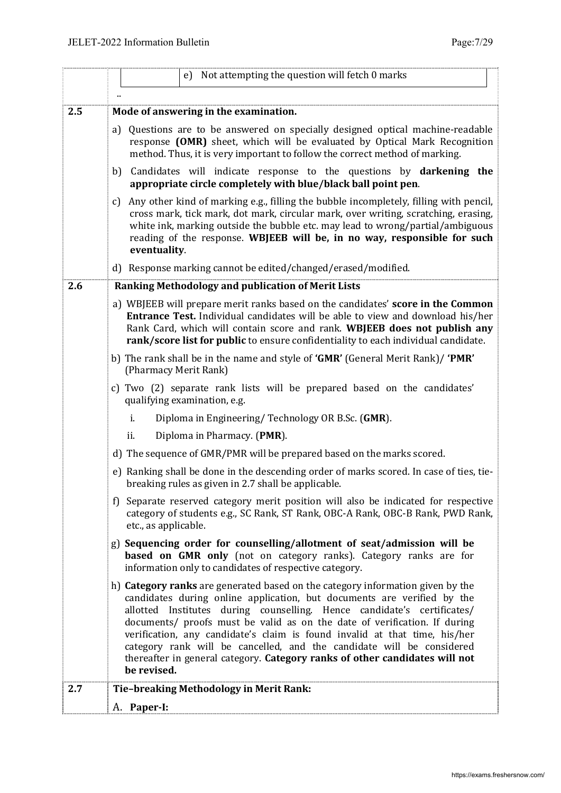|     | Not attempting the question will fetch 0 marks<br>e)                                                                                                                                                                                                                                                                                                                                                                                                                                                                                                                   |  |  |  |  |  |  |
|-----|------------------------------------------------------------------------------------------------------------------------------------------------------------------------------------------------------------------------------------------------------------------------------------------------------------------------------------------------------------------------------------------------------------------------------------------------------------------------------------------------------------------------------------------------------------------------|--|--|--|--|--|--|
|     |                                                                                                                                                                                                                                                                                                                                                                                                                                                                                                                                                                        |  |  |  |  |  |  |
| 2.5 | Mode of answering in the examination.                                                                                                                                                                                                                                                                                                                                                                                                                                                                                                                                  |  |  |  |  |  |  |
|     | Questions are to be answered on specially designed optical machine-readable<br>a)<br>response (OMR) sheet, which will be evaluated by Optical Mark Recognition<br>method. Thus, it is very important to follow the correct method of marking.                                                                                                                                                                                                                                                                                                                          |  |  |  |  |  |  |
|     | Candidates will indicate response to the questions by darkening the<br>b)<br>appropriate circle completely with blue/black ball point pen.                                                                                                                                                                                                                                                                                                                                                                                                                             |  |  |  |  |  |  |
|     | Any other kind of marking e.g., filling the bubble incompletely, filling with pencil,<br>c)<br>cross mark, tick mark, dot mark, circular mark, over writing, scratching, erasing,<br>white ink, marking outside the bubble etc. may lead to wrong/partial/ambiguous<br>reading of the response. WBJEEB will be, in no way, responsible for such<br>eventuality.                                                                                                                                                                                                        |  |  |  |  |  |  |
|     | d) Response marking cannot be edited/changed/erased/modified.                                                                                                                                                                                                                                                                                                                                                                                                                                                                                                          |  |  |  |  |  |  |
| 2.6 | Ranking Methodology and publication of Merit Lists                                                                                                                                                                                                                                                                                                                                                                                                                                                                                                                     |  |  |  |  |  |  |
|     | a) WBJEEB will prepare merit ranks based on the candidates' score in the Common<br><b>Entrance Test.</b> Individual candidates will be able to view and download his/her<br>Rank Card, which will contain score and rank. WBJEEB does not publish any<br>rank/score list for public to ensure confidentiality to each individual candidate.                                                                                                                                                                                                                            |  |  |  |  |  |  |
|     | b) The rank shall be in the name and style of <b>GMR'</b> (General Merit Rank)/ <b>PMR'</b><br>(Pharmacy Merit Rank)                                                                                                                                                                                                                                                                                                                                                                                                                                                   |  |  |  |  |  |  |
|     | c) Two (2) separate rank lists will be prepared based on the candidates'<br>qualifying examination, e.g.                                                                                                                                                                                                                                                                                                                                                                                                                                                               |  |  |  |  |  |  |
|     | Diploma in Engineering/Technology OR B.Sc. (GMR).<br>i.                                                                                                                                                                                                                                                                                                                                                                                                                                                                                                                |  |  |  |  |  |  |
|     | ii.<br>Diploma in Pharmacy. (PMR).                                                                                                                                                                                                                                                                                                                                                                                                                                                                                                                                     |  |  |  |  |  |  |
|     | d) The sequence of GMR/PMR will be prepared based on the marks scored.                                                                                                                                                                                                                                                                                                                                                                                                                                                                                                 |  |  |  |  |  |  |
|     | e) Ranking shall be done in the descending order of marks scored. In case of ties, tie-<br>breaking rules as given in 2.7 shall be applicable.                                                                                                                                                                                                                                                                                                                                                                                                                         |  |  |  |  |  |  |
|     | f) Separate reserved category merit position will also be indicated for respective<br>category of students e.g., SC Rank, ST Rank, OBC-A Rank, OBC-B Rank, PWD Rank,<br>etc., as applicable.                                                                                                                                                                                                                                                                                                                                                                           |  |  |  |  |  |  |
|     | g) Sequencing order for counselling/allotment of seat/admission will be<br><b>based on GMR only</b> (not on category ranks). Category ranks are for<br>information only to candidates of respective category.                                                                                                                                                                                                                                                                                                                                                          |  |  |  |  |  |  |
|     | h) Category ranks are generated based on the category information given by the<br>candidates during online application, but documents are verified by the<br>allotted Institutes during counselling. Hence candidate's certificates/<br>documents/ proofs must be valid as on the date of verification. If during<br>verification, any candidate's claim is found invalid at that time, his/her<br>category rank will be cancelled, and the candidate will be considered<br>thereafter in general category. Category ranks of other candidates will not<br>be revised. |  |  |  |  |  |  |
| 2.7 | Tie-breaking Methodology in Merit Rank:                                                                                                                                                                                                                                                                                                                                                                                                                                                                                                                                |  |  |  |  |  |  |
|     | A. Paper-I:                                                                                                                                                                                                                                                                                                                                                                                                                                                                                                                                                            |  |  |  |  |  |  |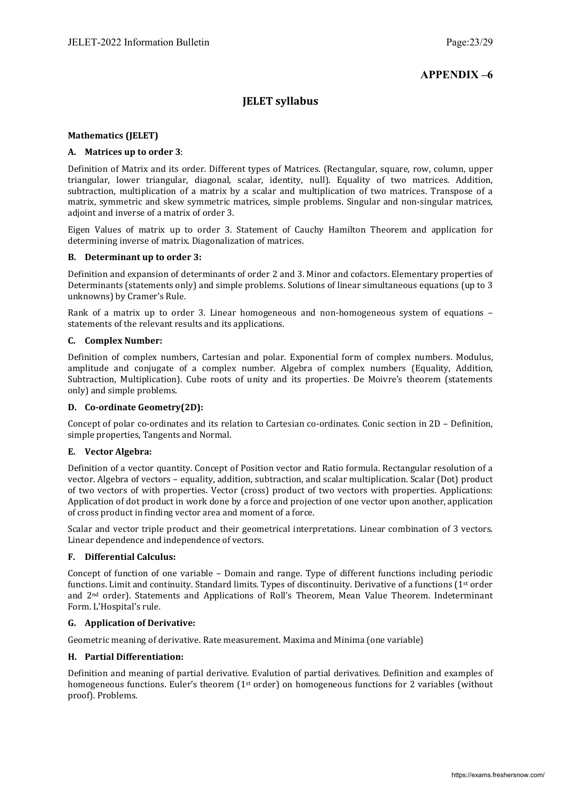# **APPENDIX –6**

## **JELET syllabus**

## **Mathematics (JELET)**

## **A. Matrices up to order 3**:

Definition of Matrix and its order. Different types of Matrices. (Rectangular, square, row, column, upper triangular, lower triangular, diagonal, scalar, identity, null). Equality of two matrices. Addition, subtraction, multiplication of a matrix by a scalar and multiplication of two matrices. Transpose of a matrix, symmetric and skew symmetric matrices, simple problems. Singular and non-singular matrices, adjoint and inverse of a matrix of order 3.

Eigen Values of matrix up to order 3. Statement of Cauchy Hamilton Theorem and application for determining inverse of matrix. Diagonalization of matrices.

#### **B. Determinant up to order 3:**

Definition and expansion of determinants of order 2 and 3. Minor and cofactors. Elementary properties of Determinants (statements only) and simple problems. Solutions of linear simultaneous equations (up to 3 unknowns) by Cramer's Rule.

Rank of a matrix up to order 3. Linear homogeneous and non-homogeneous system of equations – statements of the relevant results and its applications.

#### **C. Complex Number:**

Definition of complex numbers, Cartesian and polar. Exponential form of complex numbers. Modulus, amplitude and conjugate of a complex number. Algebra of complex numbers (Equality, Addition, Subtraction, Multiplication). Cube roots of unity and its properties. De Moivre's theorem (statements only) and simple problems.

#### **D. Co-ordinate Geometry(2D):**

Concept of polar co-ordinates and its relation to Cartesian co-ordinates. Conic section in 2D – Definition, simple properties, Tangents and Normal.

#### **E. Vector Algebra:**

Definition of a vector quantity. Concept of Position vector and Ratio formula. Rectangular resolution of a vector. Algebra of vectors – equality, addition, subtraction, and scalar multiplication. Scalar (Dot) product of two vectors of with properties. Vector (cross) product of two vectors with properties. Applications: Application of dot product in work done by a force and projection of one vector upon another, application of cross product in finding vector area and moment of a force.

Scalar and vector triple product and their geometrical interpretations. Linear combination of 3 vectors. Linear dependence and independence of vectors.

#### **F. Differential Calculus:**

Concept of function of one variable – Domain and range. Type of different functions including periodic functions. Limit and continuity. Standard limits. Types of discontinuity. Derivative of a functions (1st order and 2nd order). Statements and Applications of Roll's Theorem, Mean Value Theorem. Indeterminant Form. L'Hospital's rule.

#### **G. Application of Derivative:**

Geometric meaning of derivative. Rate measurement. Maxima and Minima (one variable)

#### **H. Partial Differentiation:**

Definition and meaning of partial derivative. Evalution of partial derivatives. Definition and examples of homogeneous functions. Euler's theorem (1<sup>st</sup> order) on homogeneous functions for 2 variables (without proof). Problems.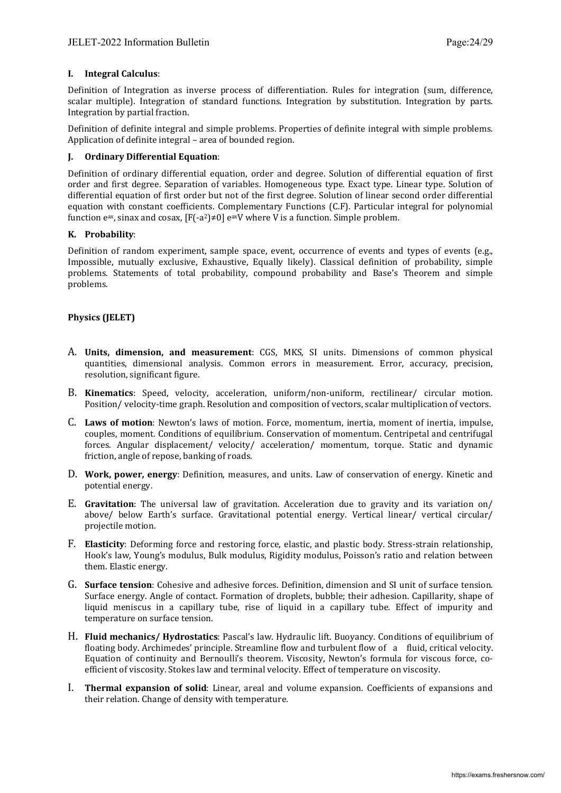#### **I. Integral Calculus**:

Definition of Integration as inverse process of differentiation. Rules for integration (sum, difference, scalar multiple). Integration of standard functions. Integration by substitution. Integration by parts. Integration by partial fraction.

Definition of definite integral and simple problems. Properties of definite integral with simple problems. Application of definite integral – area of bounded region.

#### **J. Ordinary Differential Equation**:

Definition of ordinary differential equation, order and degree. Solution of differential equation of first order and first degree. Separation of variables. Homogeneous type. Exact type. Linear type. Solution of differential equation of first order but not of the first degree. Solution of linear second order differential equation with constant coefficients. Complementary Functions (C.F). Particular integral for polynomial function e<sup>ax</sup>, sinax and cosax,  $[F(-a^2) \neq 0]$  e<sup>ax</sup>V where V is a function. Simple problem.

#### **K. Probability**:

Definition of random experiment, sample space, event, occurrence of events and types of events (e.g., Impossible, mutually exclusive, Exhaustive, Equally likely). Classical definition of probability, simple problems. Statements of total probability, compound probability and Base's Theorem and simple problems.

## **Physics (JELET)**

- A. **Units, dimension, and measurement**: CGS, MKS, SI units. Dimensions of common physical quantities, dimensional analysis. Common errors in measurement. Error, accuracy, precision, resolution, significant figure.
- B. **Kinematics**: Speed, velocity, acceleration, uniform/non-uniform, rectilinear/ circular motion. Position/ velocity-time graph. Resolution and composition of vectors, scalar multiplication of vectors.
- C. **Laws of motion**: Newton's laws of motion. Force, momentum, inertia, moment of inertia, impulse, couples, moment. Conditions of equilibrium. Conservation of momentum. Centripetal and centrifugal forces. Angular displacement/ velocity/ acceleration/ momentum, torque. Static and dynamic friction, angle of repose, banking of roads.
- D. **Work, power, energy**: Definition, measures, and units. Law of conservation of energy. Kinetic and potential energy.
- E. **Gravitation**: The universal law of gravitation. Acceleration due to gravity and its variation on/ above/ below Earth's surface. Gravitational potential energy. Vertical linear/ vertical circular/ projectile motion.
- F. **Elasticity**: Deforming force and restoring force, elastic, and plastic body. Stress-strain relationship, Hook's law, Young's modulus, Bulk modulus, Rigidity modulus, Poisson's ratio and relation between them. Elastic energy.
- G. **Surface tension**: Cohesive and adhesive forces. Definition, dimension and SI unit of surface tension. Surface energy. Angle of contact. Formation of droplets, bubble; their adhesion. Capillarity, shape of liquid meniscus in a capillary tube, rise of liquid in a capillary tube. Effect of impurity and temperature on surface tension.
- H. **Fluid mechanics/ Hydrostatics**: Pascal's law. Hydraulic lift. Buoyancy. Conditions of equilibrium of floating body. Archimedes' principle. Streamline flow and turbulent flow of a fluid, critical velocity. Equation of continuity and Bernoulli's theorem. Viscosity, Newton's formula for viscous force, coefficient of viscosity. Stokes law and terminal velocity. Effect of temperature on viscosity.
- I. **Thermal expansion of solid**: Linear, areal and volume expansion. Coefficients of expansions and their relation. Change of density with temperature.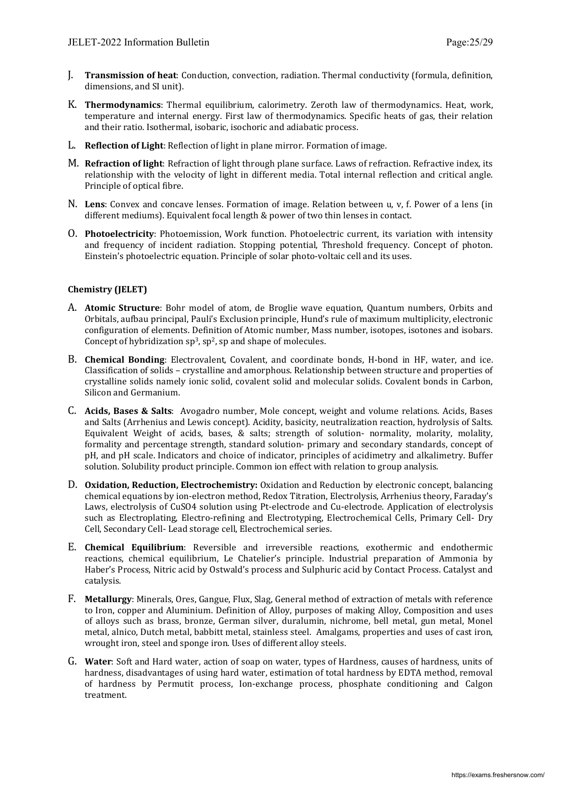- J. **Transmission of heat**: Conduction, convection, radiation. Thermal conductivity (formula, definition, dimensions, and SI unit).
- K. **Thermodynamics**: Thermal equilibrium, calorimetry. Zeroth law of thermodynamics. Heat, work, temperature and internal energy. First law of thermodynamics. Specific heats of gas, their relation and their ratio. Isothermal, isobaric, isochoric and adiabatic process.
- L. **Reflection of Light**: Reflection of light in plane mirror. Formation of image.
- M. **Refraction of light**: Refraction of light through plane surface. Laws of refraction. Refractive index, its relationship with the velocity of light in different media. Total internal reflection and critical angle. Principle of optical fibre.
- N. **Lens**: Convex and concave lenses. Formation of image. Relation between u, v, f. Power of a lens (in different mediums). Equivalent focal length & power of two thin lenses in contact.
- O. **Photoelectricity**: Photoemission, Work function. Photoelectric current, its variation with intensity and frequency of incident radiation. Stopping potential, Threshold frequency. Concept of photon. Einstein's photoelectric equation. Principle of solar photo-voltaic cell and its uses.

## **Chemistry (JELET)**

- A. **Atomic Structure**: Bohr model of atom, de Broglie wave equation, Quantum numbers, Orbits and Orbitals, aufbau principal, Pauli's Exclusion principle, Hund's rule of maximum multiplicity, electronic configuration of elements. Definition of Atomic number, Mass number, isotopes, isotones and isobars. Concept of hybridization  $sp^3$ ,  $sp^2$ , sp and shape of molecules.
- B. **Chemical Bonding**: Electrovalent, Covalent, and coordinate bonds, H-bond in HF, water, and ice. Classification of solids – crystalline and amorphous. Relationship between structure and properties of crystalline solids namely ionic solid, covalent solid and molecular solids. Covalent bonds in Carbon, Silicon and Germanium.
- C. **Acids, Bases & Salts**: Avogadro number, Mole concept, weight and volume relations. Acids, Bases and Salts (Arrhenius and Lewis concept). Acidity, basicity, neutralization reaction, hydrolysis of Salts. Equivalent Weight of acids, bases, & salts; strength of solution- normality, molarity, molality, formality and percentage strength, standard solution- primary and secondary standards, concept of pH, and pH scale. Indicators and choice of indicator, principles of acidimetry and alkalimetry. Buffer solution. Solubility product principle. Common ion effect with relation to group analysis.
- D. **Oxidation, Reduction, Electrochemistry:** Oxidation and Reduction by electronic concept, balancing chemical equations by ion-electron method, Redox Titration, Electrolysis, Arrhenius theory, Faraday's Laws, electrolysis of CuSO4 solution using Pt-electrode and Cu-electrode. Application of electrolysis such as Electroplating, Electro-refining and Electrotyping, Electrochemical Cells, Primary Cell- Dry Cell, Secondary Cell- Lead storage cell, Electrochemical series.
- E. **Chemical Equilibrium**: Reversible and irreversible reactions, exothermic and endothermic reactions, chemical equilibrium, Le Chatelier's principle. Industrial preparation of Ammonia by Haber's Process, Nitric acid by Ostwald's process and Sulphuric acid by Contact Process. Catalyst and catalysis.
- F. **Metallurgy**: Minerals, Ores, Gangue, Flux, Slag, General method of extraction of metals with reference to Iron, copper and Aluminium. Definition of Alloy, purposes of making Alloy, Composition and uses of alloys such as brass, bronze, German silver, duralumin, nichrome, bell metal, gun metal, Monel metal, alnico, Dutch metal, babbitt metal, stainless steel. Amalgams, properties and uses of cast iron, wrought iron, steel and sponge iron. Uses of different alloy steels.
- G. **Water**: Soft and Hard water, action of soap on water, types of Hardness, causes of hardness, units of hardness, disadvantages of using hard water, estimation of total hardness by EDTA method, removal of hardness by Permutit process, Ion-exchange process, phosphate conditioning and Calgon treatment.